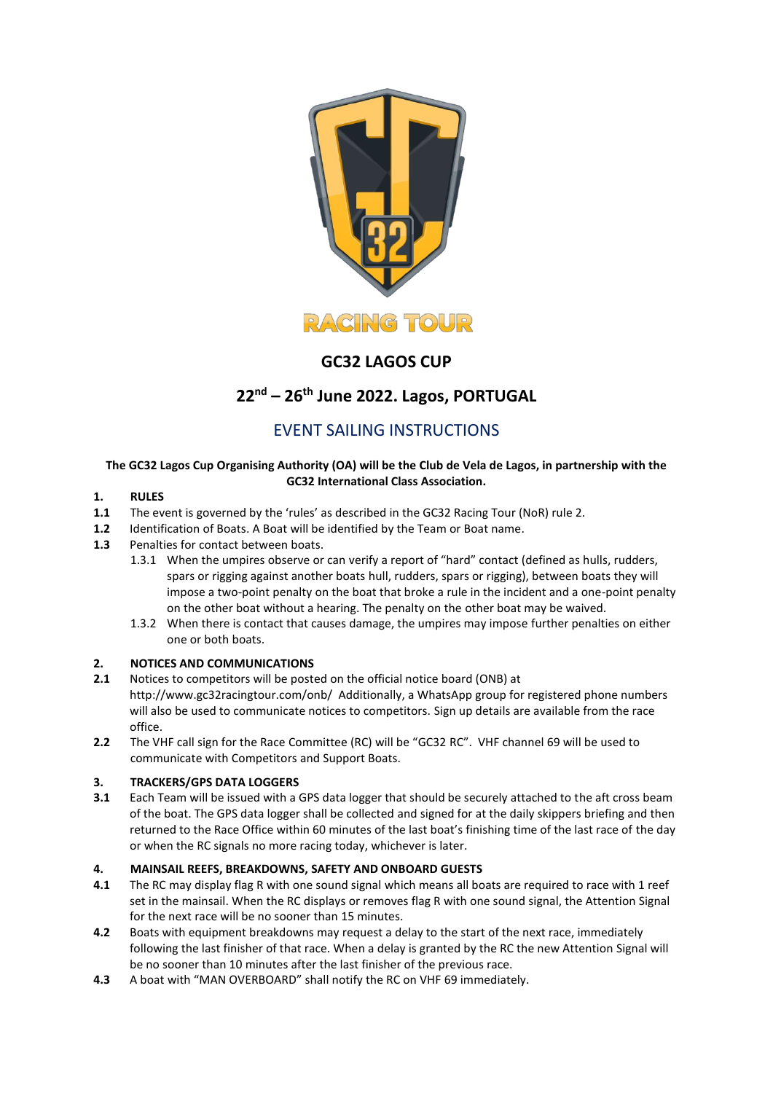

# **GC32 LAGOS CUP**

# **22 nd – 26 th June 2022. Lagos, PORTUGAL**

## EVENT SAILING INSTRUCTIONS

## **The GC32 Lagos Cup Organising Authority (OA) will be the Club de Vela de Lagos, in partnership with the GC32 International Class Association.**

## **1. RULES**

- **1.1** The event is governed by the 'rules' as described in the GC32 Racing Tour (NoR) rule 2.
- **1.2** Identification of Boats. A Boat will be identified by the Team or Boat name.
- **1.3** Penalties for contact between boats.
	- 1.3.1 When the umpires observe or can verify a report of "hard" contact (defined as hulls, rudders, spars or rigging against another boats hull, rudders, spars or rigging), between boats they will impose a two-point penalty on the boat that broke a rule in the incident and a one-point penalty on the other boat without a hearing. The penalty on the other boat may be waived.
	- 1.3.2 When there is contact that causes damage, the umpires may impose further penalties on either one or both boats.

## **2. NOTICES AND COMMUNICATIONS**

- **2.1** Notices to competitors will be posted on the official notice board (ONB) at <http://www.gc32racingtour.com/onb/>Additionally, a WhatsApp group for registered phone numbers will also be used to communicate notices to competitors. Sign up details are available from the race office.
- **2.2** The VHF call sign for the Race Committee (RC) will be "GC32 RC". VHF channel 69 will be used to communicate with Competitors and Support Boats.

## **3. TRACKERS/GPS DATA LOGGERS**

**3.1** Each Team will be issued with a GPS data logger that should be securely attached to the aft cross beam of the boat. The GPS data logger shall be collected and signed for at the daily skippers briefing and then returned to the Race Office within 60 minutes of the last boat's finishing time of the last race of the day or when the RC signals no more racing today, whichever is later.

## **4. MAINSAIL REEFS, BREAKDOWNS, SAFETY AND ONBOARD GUESTS**

- **4.1** The RC may display flag R with one sound signal which means all boats are required to race with 1 reef set in the mainsail. When the RC displays or removes flag R with one sound signal, the Attention Signal for the next race will be no sooner than 15 minutes.
- **4.2** Boats with equipment breakdowns may request a delay to the start of the next race, immediately following the last finisher of that race. When a delay is granted by the RC the new Attention Signal will be no sooner than 10 minutes after the last finisher of the previous race.
- **4.3** A boat with "MAN OVERBOARD" shall notify the RC on VHF 69 immediately.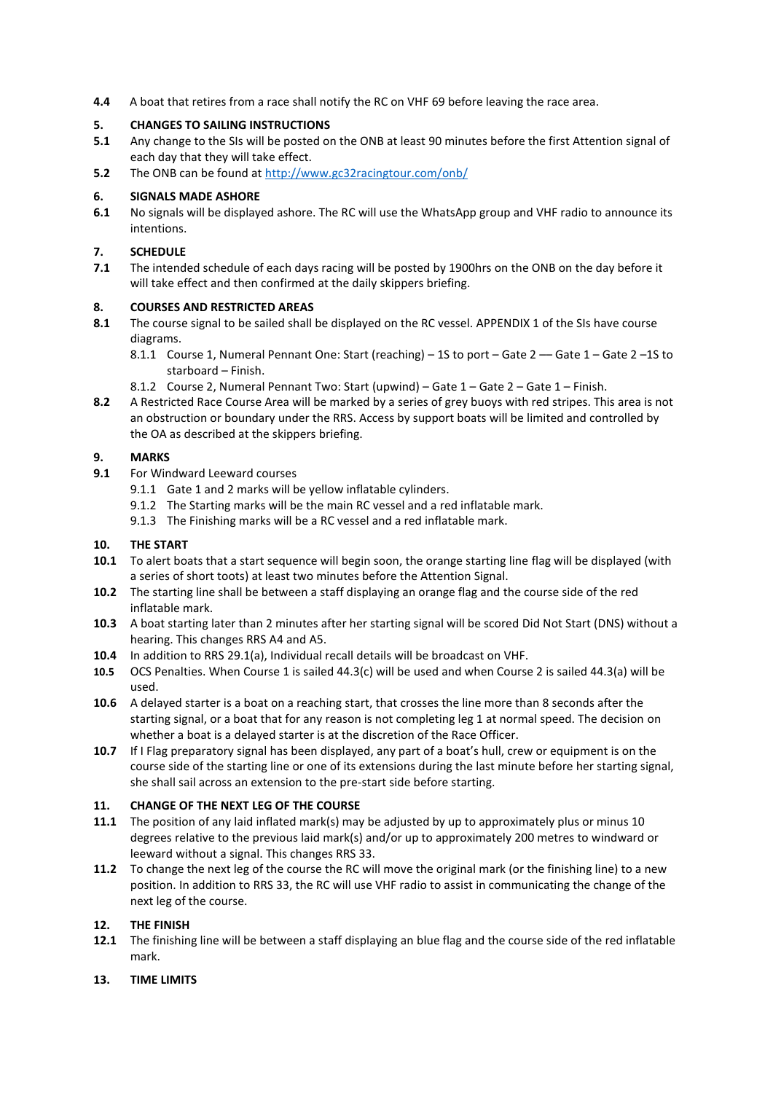**4.4** A boat that retires from a race shall notify the RC on VHF 69 before leaving the race area.

### **5. CHANGES TO SAILING INSTRUCTIONS**

- **5.1** Any change to the SIs will be posted on the ONB at least 90 minutes before the first Attention signal of each day that they will take effect.
- **5.2** The ONB can be found at<http://www.gc32racingtour.com/onb/>

#### **6. SIGNALS MADE ASHORE**

**6.1** No signals will be displayed ashore. The RC will use the WhatsApp group and VHF radio to announce its intentions.

#### **7. SCHEDULE**

**7.1** The intended schedule of each days racing will be posted by 1900hrs on the ONB on the day before it will take effect and then confirmed at the daily skippers briefing.

#### **8. COURSES AND RESTRICTED AREAS**

- **8.1** The course signal to be sailed shall be displayed on the RC vessel. APPENDIX 1 of the SIs have course diagrams.
	- 8.1.1 Course 1, Numeral Pennant One: Start (reaching) 1S to port Gate 2 Gate 1 Gate 2 –1S to starboard – Finish.
	- 8.1.2 Course 2, Numeral Pennant Two: Start (upwind) Gate 1 Gate 2 Gate 1 Finish.
- **8.2** A Restricted Race Course Area will be marked by a series of grey buoys with red stripes. This area is not an obstruction or boundary under the RRS. Access by support boats will be limited and controlled by the OA as described at the skippers briefing.

#### **9. MARKS**

- **9.1** For Windward Leeward courses
	- 9.1.1 Gate 1 and 2 marks will be yellow inflatable cylinders.
	- 9.1.2 The Starting marks will be the main RC vessel and a red inflatable mark.
	- 9.1.3 The Finishing marks will be a RC vessel and a red inflatable mark.

#### **10. THE START**

- **10.1** To alert boats that a start sequence will begin soon, the orange starting line flag will be displayed (with a series of short toots) at least two minutes before the Attention Signal.
- **10.2** The starting line shall be between a staff displaying an orange flag and the course side of the red inflatable mark.
- **10.3** A boat starting later than 2 minutes after her starting signal will be scored Did Not Start (DNS) without a hearing. This changes RRS A4 and A5.
- **10.4** In addition to RRS 29.1(a), Individual recall details will be broadcast on VHF.
- **10.5** OCS Penalties. When Course 1 is sailed 44.3(c) will be used and when Course 2 is sailed 44.3(a) will be used.
- **10.6** A delayed starter is a boat on a reaching start, that crosses the line more than 8 seconds after the starting signal, or a boat that for any reason is not completing leg 1 at normal speed. The decision on whether a boat is a delayed starter is at the discretion of the Race Officer.
- **10.7** If I Flag preparatory signal has been displayed, any part of a boat's hull, crew or equipment is on the course side of the starting line or one of its extensions during the last minute before her starting signal, she shall sail across an extension to the pre-start side before starting.

## **11. CHANGE OF THE NEXT LEG OF THE COURSE**

- **11.1** The position of any laid inflated mark(s) may be adjusted by up to approximately plus or minus 10 degrees relative to the previous laid mark(s) and/or up to approximately 200 metres to windward or leeward without a signal. This changes RRS 33.
- **11.2** To change the next leg of the course the RC will move the original mark (or the finishing line) to a new position. In addition to RRS 33, the RC will use VHF radio to assist in communicating the change of the next leg of the course.

#### **12. THE FINISH**

**12.1** The finishing line will be between a staff displaying an blue flag and the course side of the red inflatable mark.

#### **13. TIME LIMITS**